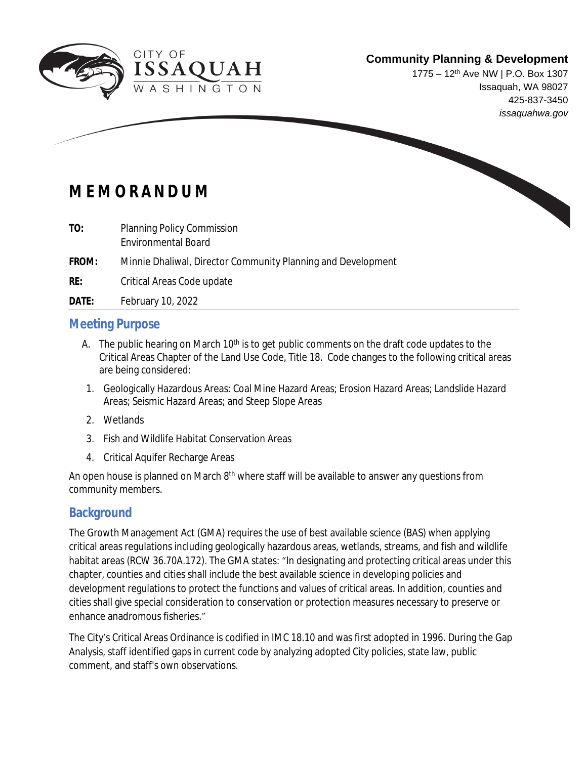

1775 – 12th Ave NW | P.O. Box 1307 Issaquah, WA 98027 425-837-3450 *issaquahwa.gov*

# **M E M O R A N D U M**

- **TO:** Planning Policy Commission Environmental Board
- **FROM:** Minnie Dhaliwal, Director Community Planning and Development
- **RE:** Critical Areas Code update
- **DATE:** February 10, 2022

### **Meeting Purpose**

- A. The public hearing on March  $10<sup>th</sup>$  is to get public comments on the draft code updates to the Critical Areas Chapter of the Land Use Code, Title 18. Code changes to the following critical areas are being considered:
- 1. Geologically Hazardous Areas: Coal Mine Hazard Areas; Erosion Hazard Areas; Landslide Hazard Areas; Seismic Hazard Areas; and Steep Slope Areas
- 2. Wetlands
- 3. Fish and Wildlife Habitat Conservation Areas
- 4. Critical Aquifer Recharge Areas

An open house is planned on March 8<sup>th</sup> where staff will be available to answer any questions from community members.

### **Background**

The Growth Management Act (GMA) requires the use of best available science (BAS) when applying critical areas regulations including geologically hazardous areas, wetlands, streams, and fish and wildlife habitat areas (RCW 36.70A.172). The GMA states: "In designating and protecting critical areas under this chapter, counties and cities shall include the best available science in developing policies and development regulations to protect the functions and values of critical areas. In addition, counties and cities shall give special consideration to conservation or protection measures necessary to preserve or enhance anadromous fisheries."

The City's Critical Areas Ordinance is codified in IMC 18.10 and was first adopted in 1996. During the Gap Analysis, staff identified gaps in current code by analyzing adopted City policies, state law, public comment, and staff's own observations.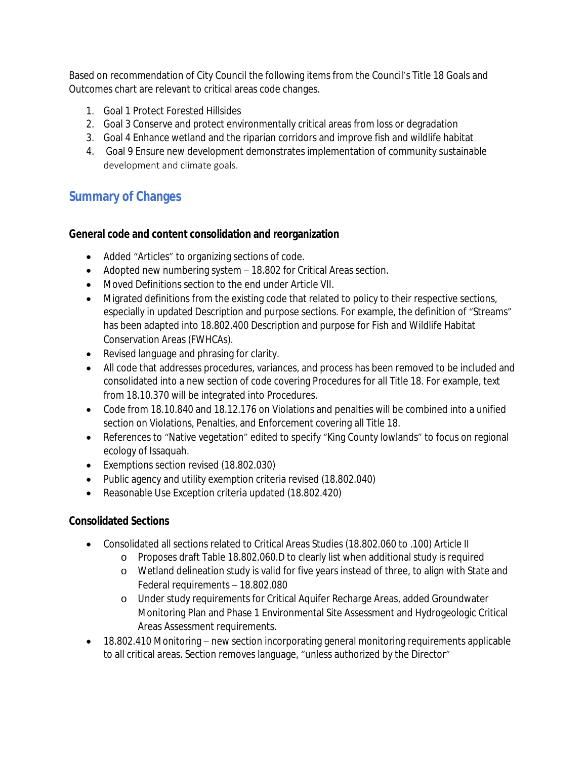Based on recommendation of City Council the following items from the Council's Title 18 Goals and Outcomes chart are relevant to critical areas code changes.

- 1. Goal 1 Protect Forested Hillsides
- 2. Goal 3 Conserve and protect environmentally critical areas from loss or degradation
- 3. Goal 4 Enhance wetland and the riparian corridors and improve fish and wildlife habitat
- 4. Goal 9 Ensure new development demonstrates implementation of community sustainable development and climate goals.

# **Summary of Changes**

#### **General code and content consolidation and reorganization**

- Added "Articles" to organizing sections of code.
- Adopted new numbering system 18.802 for Critical Areas section.
- Moved Definitions section to the end under Article VII.
- Migrated definitions from the existing code that related to policy to their respective sections, especially in updated Description and purpose sections. For example, the definition of "Streams" has been adapted into 18.802.400 Description and purpose for Fish and Wildlife Habitat Conservation Areas (FWHCAs).
- Revised language and phrasing for clarity.
- All code that addresses procedures, variances, and process has been removed to be included and consolidated into a new section of code covering Procedures for all Title 18. For example, text from 18.10.370 will be integrated into Procedures.
- Code from 18.10.840 and 18.12.176 on Violations and penalties will be combined into a unified section on Violations, Penalties, and Enforcement covering all Title 18.
- References to "Native vegetation" edited to specify "King County lowlands" to focus on regional ecology of Issaquah.
- Exemptions section revised (18.802.030)
- Public agency and utility exemption criteria revised (18.802.040)
- Reasonable Use Exception criteria updated (18.802.420)

### **Consolidated Sections**

- Consolidated all sections related to Critical Areas Studies (18.802.060 to .100) Article II
	- o Proposes draft Table 18.802.060.D to clearly list when additional study is required
	- o Wetland delineation study is valid for five years instead of three, to align with State and Federal requirements – 18.802.080
	- o Under study requirements for Critical Aquifer Recharge Areas, added Groundwater Monitoring Plan and Phase 1 Environmental Site Assessment and Hydrogeologic Critical Areas Assessment requirements.
- 18.802.410 Monitoring new section incorporating general monitoring requirements applicable to all critical areas. Section removes language, "unless authorized by the Director"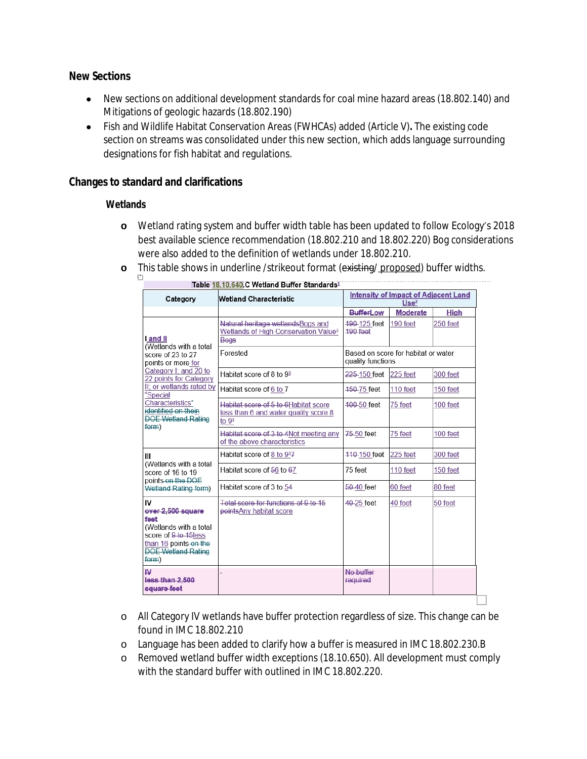#### **New Sections**

- New sections on additional development standards for coal mine hazard areas (18.802.140) and Mitigations of geologic hazards (18.802.190)
- Fish and Wildlife Habitat Conservation Areas (FWHCAs) added (Article V)**.** The existing code section on streams was consolidated under this new section, which adds language surrounding designations for fish habitat and regulations.

#### **Changes to standard and clarifications**

#### **Wetlands**

- **o** Wetland rating system and buffer width table has been updated to follow Ecology's 2018 best available science recommendation (18.802.210 and 18.802.220) Bog considerations were also added to the definition of wetlands under 18.802.210.
- **o** This table shows in underline /strikeout format (existing/ proposed) buffer widths.

| Table 18.10.640.C Wetland Buffer Standards <sup>1</sup>                                                                                                                                                                                                   |                                                                                                    |                                                                 |                 |             |  |
|-----------------------------------------------------------------------------------------------------------------------------------------------------------------------------------------------------------------------------------------------------------|----------------------------------------------------------------------------------------------------|-----------------------------------------------------------------|-----------------|-------------|--|
| Category                                                                                                                                                                                                                                                  | <b>Wetland Characteristic</b>                                                                      | <b>Intensity of Impact of Adjacent Land</b><br>Use <sup>2</sup> |                 |             |  |
|                                                                                                                                                                                                                                                           |                                                                                                    | <b>BufferLow</b>                                                | <b>Moderate</b> | <b>High</b> |  |
| I and II<br>(Wetlands with a total<br>score of 23 to 27<br>points or more for<br>Category I; and 20 to<br>22 points for Category<br>II; or wetlands rated by<br>"Special<br>Characteristics"<br>identified on thein<br><b>DOE Wetland Rating</b><br>form) | Natural heritage wetlandsBogs and<br>Wetlands of High Conservation Value <sup>3</sup><br>Bogs      | 490-125 feet<br>$490$ feet                                      | 190 feet        | 250 feet    |  |
|                                                                                                                                                                                                                                                           | Forested                                                                                           | Based on score for habitat or water<br>quality functions        |                 |             |  |
|                                                                                                                                                                                                                                                           | Habitat score of 8 to 9 <sup>3</sup>                                                               | 225-150 feet                                                    | 225 feet        | 300 feet    |  |
|                                                                                                                                                                                                                                                           | Habitat score of 6 to 7                                                                            | 450-75 feet                                                     | 110 feet        | 150 feet    |  |
|                                                                                                                                                                                                                                                           | Habitat score of 5 to 6Habitat score<br>less than 6 and water quality score 8<br>to 9 <sup>3</sup> | 400-50 feet                                                     | 75 feet         | 100 feet    |  |
|                                                                                                                                                                                                                                                           | Habitat score of 3 to 4Not meeting any<br>of the above characteristics                             | 75-50 feet                                                      | 75 feet         | 100 feet    |  |
| Ш<br>(Wetlands with a total<br>score of 16 to 19<br>points on the DOE<br>Wetland Rating form)                                                                                                                                                             | Habitat score of 8 to 937                                                                          | 440-150 feet                                                    | 225 feet        | 300 feet    |  |
|                                                                                                                                                                                                                                                           | Habitat score of 56 to 67                                                                          | 75 feet                                                         | 110 feet        | 150 feet    |  |
|                                                                                                                                                                                                                                                           | Habitat score of 3 to 54                                                                           | 50-40 feet                                                      | 60 feet         | 80 feet     |  |
| IV<br>over 2,500 square<br>feet<br>(Wetlands with a total<br>score of 9 to 15less<br>than 16 points on the<br><b>DOE Wetland Rating</b><br>form)                                                                                                          | Total score for functions of 9 to 15<br>pointsAny habitat score                                    | 40-25 feet                                                      | 40 feet         | 50 feet     |  |
| W.<br>less than 2,500<br>square feet                                                                                                                                                                                                                      |                                                                                                    | No buffer<br>required                                           |                 |             |  |

- o All Category IV wetlands have buffer protection regardless of size. This change can be found in IMC 18.802.210
- o Language has been added to clarify how a buffer is measured in IMC 18.802.230.B
- o Removed wetland buffer width exceptions (18.10.650). All development must comply with the standard buffer with outlined in IMC 18.802.220.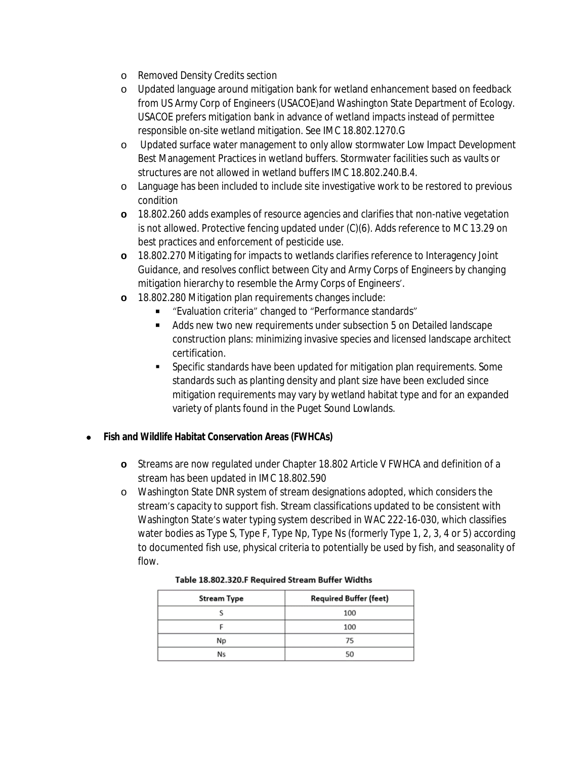- o Removed Density Credits section
- o Updated language around mitigation bank for wetland enhancement based on feedback from US Army Corp of Engineers (USACOE)and Washington State Department of Ecology. USACOE prefers mitigation bank in advance of wetland impacts instead of permittee responsible on-site wetland mitigation. See IMC 18.802.1270.G
- o Updated surface water management to only allow stormwater Low Impact Development Best Management Practices in wetland buffers. Stormwater facilities such as vaults or structures are not allowed in wetland buffers IMC 18.802.240.B.4.
- o Language has been included to include site investigative work to be restored to previous condition
- **o** 18.802.260 adds examples of resource agencies and clarifies that non-native vegetation is not allowed. Protective fencing updated under (C)(6). Adds reference to MC 13.29 on best practices and enforcement of pesticide use.
- **o** 18.802.270 Mitigating for impacts to wetlands clarifies reference to Interagency Joint Guidance, and resolves conflict between City and Army Corps of Engineers by changing mitigation hierarchy to resemble the Army Corps of Engineers'.
- **o** 18.802.280 Mitigation plan requirements changes include:
	- "Evaluation criteria" changed to "Performance standards"
	- Adds new two new requirements under subsection 5 on Detailed landscape construction plans: minimizing invasive species and licensed landscape architect certification.
	- Specific standards have been updated for mitigation plan requirements. Some standards such as planting density and plant size have been excluded since mitigation requirements may vary by wetland habitat type and for an expanded variety of plants found in the Puget Sound Lowlands.

#### **Fish and Wildlife Habitat Conservation Areas (FWHCAs)**

- **o** Streams are now regulated under Chapter 18.802 Article V FWHCA and definition of a stream has been updated in IMC 18.802.590
- o Washington State DNR system of stream designations adopted, which considers the stream's capacity to support fish. Stream classifications updated to be consistent with Washington State's water typing system described in WAC 222-16-030, which classifies water bodies as Type S, Type F, Type Np, Type Ns (formerly Type 1, 2, 3, 4 or 5) according to documented fish use, physical criteria to potentially be used by fish, and seasonality of flow.

| <b>Stream Type</b> | <b>Required Buffer (feet)</b> |  |
|--------------------|-------------------------------|--|
|                    | 100                           |  |
|                    | 100                           |  |
| Np                 | 75                            |  |
| Ns                 | 50                            |  |

#### Table 18.802.320.F Required Stream Buffer Widths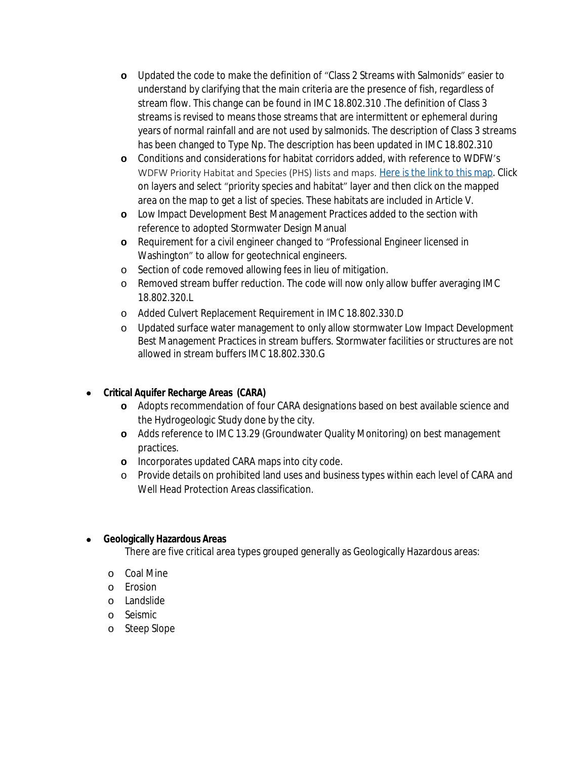- **o** Updated the code to make the definition of "Class 2 Streams with Salmonids" easier to understand by clarifying that the main criteria are the presence of fish, regardless of stream flow. This change can be found in IMC 18.802.310 .The definition of Class 3 streams is revised to means those streams that are intermittent or ephemeral during years of normal rainfall and are not used by salmonids. The description of Class 3 streams has been changed to Type Np. The description has been updated in IMC 18.802.310
- **o** Conditions and considerations for habitat corridors added, with reference to WDFW's WDFW Priority Habitat and Species (PHS) lists and maps. [Here is the link to this map](https://products.issaquahwa.gov/html5viewerpublic/index.html?viewer=issypublic&layerTheme=1). Click on layers and select "priority species and habitat" layer and then click on the mapped area on the map to get a list of species. These habitats are included in Article V.
- **o** Low Impact Development Best Management Practices added to the section with reference to adopted Stormwater Design Manual
- **o** Requirement for a civil engineer changed to "Professional Engineer licensed in Washington" to allow for geotechnical engineers.
- o Section of code removed allowing fees in lieu of mitigation.
- o Removed stream buffer reduction. The code will now only allow buffer averaging IMC 18.802.320.L
- o Added Culvert Replacement Requirement in IMC 18.802.330.D
- o Updated surface water management to only allow stormwater Low Impact Development Best Management Practices in stream buffers. Stormwater facilities or structures are not allowed in stream buffers IMC 18.802.330.G

#### **Critical Aquifer Recharge Areas (CARA)**

- **o** Adopts recommendation of four CARA designations based on best available science and the Hydrogeologic Study done by the city.
- **o** Adds reference to IMC 13.29 (Groundwater Quality Monitoring) on best management practices.
- **o** Incorporates updated CARA maps into city code.
- o Provide details on prohibited land uses and business types within each level of CARA and Well Head Protection Areas classification.

#### **Geologically Hazardous Areas**

There are five critical area types grouped generally as Geologically Hazardous areas:

- o Coal Mine
- o Erosion
- o Landslide
- o Seismic
- o Steep Slope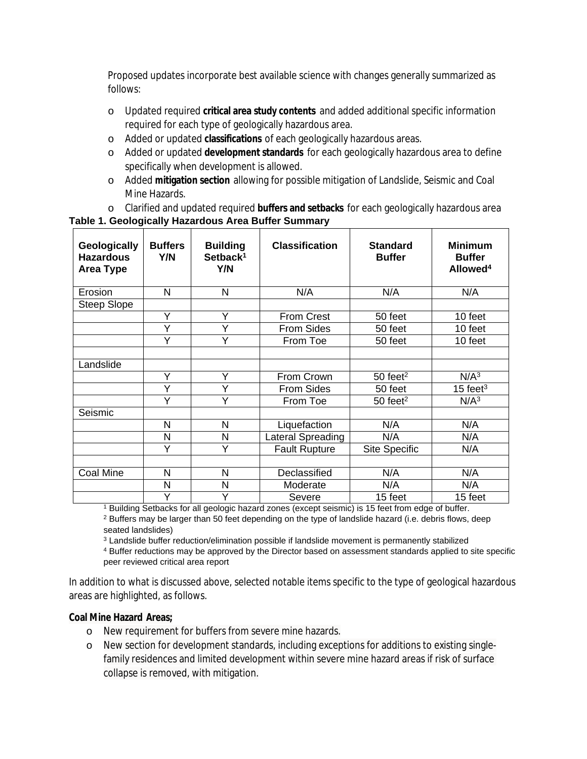Proposed updates incorporate best available science with changes generally summarized as follows:

- o Updated required **critical area study contents** and added additional specific information required for each type of geologically hazardous area.
- o Added or updated **classifications** of each geologically hazardous areas.
- o Added or updated **development standards** for each geologically hazardous area to define specifically when development is allowed.
- o Added **mitigation section** allowing for possible mitigation of Landslide, Seismic and Coal Mine Hazards.
- o Clarified and updated required **buffers and setbacks** for each geologically hazardous area

#### **Geologically Hazardous Area Type Buffers Y/N Building Setback<sup>1</sup> Y/N Classification Standard Buffer Minimum Buffer Allowed<sup>4</sup>** Erosion | N | N | N/A | N/A | N/A Steep Slope Y Y From Crest 50 feet 10 feet<br>Y Y From Sides 50 feet 10 feet From Sides | 50 feet | 10 feet Y | Y | From Toe | 50 feet | 10 feet **Landslide**  $Y \mid Y \mid$  From Crown  $\mid$  50 feet<sup>2</sup>  $\mid$  N/A<sup>3</sup> Y | Y | From Sides | 50 feet | 15 feet<sup>3</sup>  $Y$   $Y$  From Toe 50 feet<sup>2</sup> N/A<sup>3</sup> Seismic N | N | Liquefaction | N/A | N/A N N | Lateral Spreading | N/A | N/A Y | Y | Fault Rupture | Site Specific | N/A Coal Mine N N N N Declassified N/A N/A N/A N N N Moderate N/A N/A Y | Y | Severe | 15 feet | 15 feet

#### **Table 1. Geologically Hazardous Area Buffer Summary**

1 Building Setbacks for all geologic hazard zones (except seismic) is 15 feet from edge of buffer.

<sup>2</sup> Buffers may be larger than 50 feet depending on the type of landslide hazard (i.e. debris flows, deep seated landslides)

 $3$  Landslide buffer reduction/elimination possible if landslide movement is permanently stabilized

4 Buffer reductions may be approved by the Director based on assessment standards applied to site specific peer reviewed critical area report

In addition to what is discussed above, selected notable items specific to the type of geological hazardous areas are highlighted, as follows.

#### **Coal Mine Hazard Areas;**

- o New requirement for buffers from severe mine hazards.
- o New section for development standards, including exceptions for additions to existing singlefamily residences and limited development within severe mine hazard areas if risk of surface collapse is removed, with mitigation.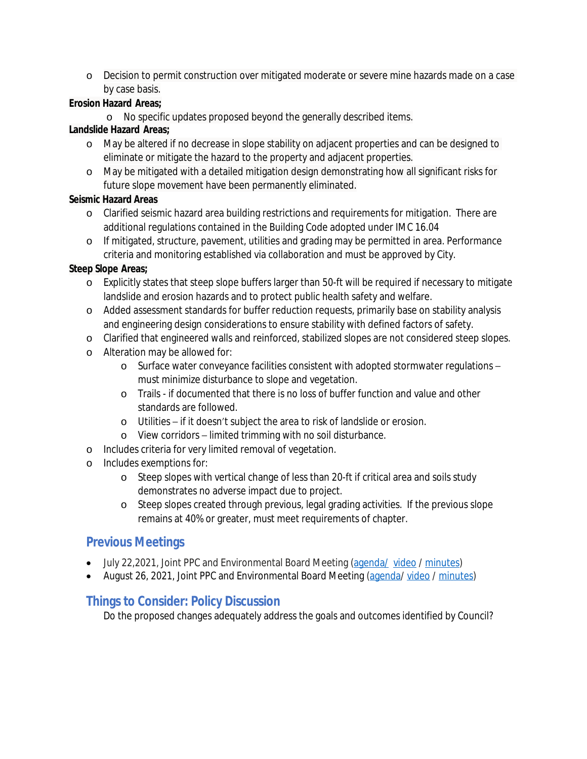o Decision to permit construction over mitigated moderate or severe mine hazards made on a case by case basis.

#### **Erosion Hazard Areas;**

o No specific updates proposed beyond the generally described items.

#### **Landslide Hazard Areas;**

- o May be altered if no decrease in slope stability on adjacent properties and can be designed to eliminate or mitigate the hazard to the property and adjacent properties.
- o May be mitigated with a detailed mitigation design demonstrating how all significant risks for future slope movement have been permanently eliminated.

#### **Seismic Hazard Areas**

- o Clarified seismic hazard area building restrictions and requirements for mitigation. There are additional regulations contained in the Building Code adopted under IMC 16.04
- o If mitigated, structure, pavement, utilities and grading may be permitted in area. Performance criteria and monitoring established via collaboration and must be approved by City.

#### **Steep Slope Areas;**

- o Explicitly states that steep slope buffers larger than 50-ft will be required if necessary to mitigate landslide and erosion hazards and to protect public health safety and welfare.
- o Added assessment standards for buffer reduction requests, primarily base on stability analysis and engineering design considerations to ensure stability with defined factors of safety.
- o Clarified that engineered walls and reinforced, stabilized slopes are not considered steep slopes.
- o Alteration may be allowed for:
	- o Surface water conveyance facilities consistent with adopted stormwater regulations must minimize disturbance to slope and vegetation.
	- o Trails if documented that there is no loss of buffer function and value and other standards are followed.
	- o Utilities if it doesn't subject the area to risk of landslide or erosion.
	- o View corridors limited trimming with no soil disturbance.
- o Includes criteria for very limited removal of vegetation.
- o Includes exemptions for:
	- o Steep slopes with vertical change of less than 20-ft if critical area and soils study demonstrates no adverse impact due to project.
	- o Steep slopes created through previous, legal grading activities. If the previous slope remains at 40% or greater, must meet requirements of chapter.

## **Previous Meetings**

- July 22,2021, Joint PPC and Environmental Board Meeting [\(agenda/](https://issaquah.civicweb.net/filepro/documents/?preview=140653) [video](https://www.youtube.com/watch?v=FdF_yAItsWM) / [minutes](https://issaquah.civicweb.net/document/141761))
- August 26, 2021, Joint PPC and Environmental Board Meeting ([agenda](https://issaquah.civicweb.net/filepro/documents/131216?preview=141646)/ [video](https://www.youtube.com/watch?v=-4_3VY-Jbk0) / [minutes\)](https://issaquah.civicweb.net/document/145394)

## **Things to Consider: Policy Discussion**

Do the proposed changes adequately address the goals and outcomes identified by Council?